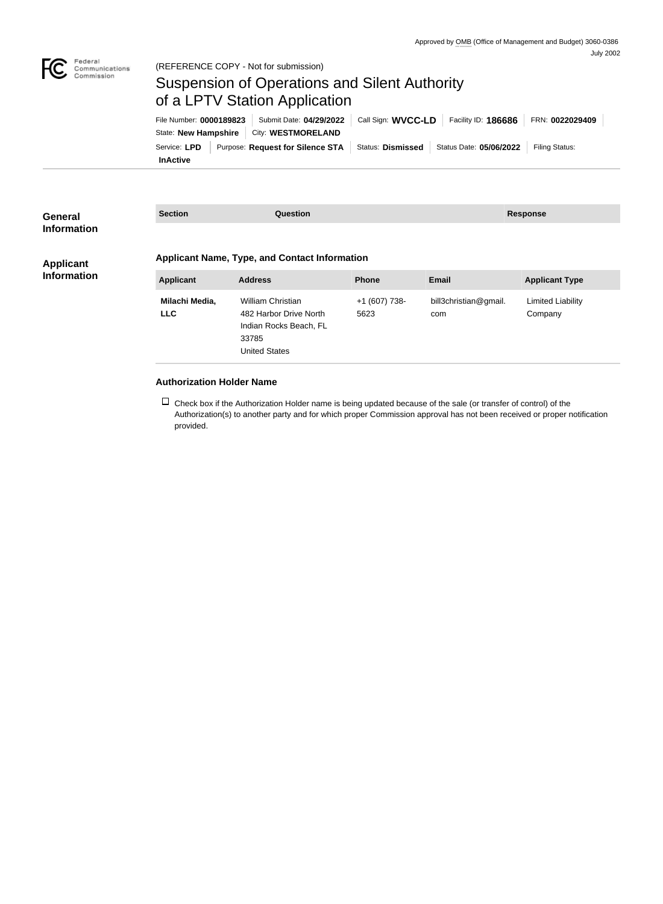

## Suspension of Operations and Silent Authority of a LPTV Station Application

**InActive** Service: LPD | Purpose: Request for Silence STA | Status: Dismissed | Status Date: 05/06/2022 | Filing Status: State: **New Hampshire** | City: **WESTMORELAND** File Number: **0000189823** Submit Date: **04/29/2022** Call Sign: **WVCC-LD** Facility ID: **186686** FRN: **0022029409**

| General<br><b>Information</b>          | <b>Section</b>                                       | <b>Question</b>                                                                                               |                       |                              | <b>Response</b>              |  |
|----------------------------------------|------------------------------------------------------|---------------------------------------------------------------------------------------------------------------|-----------------------|------------------------------|------------------------------|--|
| <b>Applicant</b><br><b>Information</b> | <b>Applicant Name, Type, and Contact Information</b> |                                                                                                               |                       |                              |                              |  |
|                                        | <b>Applicant</b>                                     | <b>Address</b>                                                                                                | <b>Phone</b>          | <b>Email</b>                 | <b>Applicant Type</b>        |  |
|                                        | Milachi Media,<br><b>LLC</b>                         | <b>William Christian</b><br>482 Harbor Drive North<br>Indian Rocks Beach, FL<br>33785<br><b>United States</b> | +1 (607) 738-<br>5623 | bill3christian@gmail.<br>com | Limited Liability<br>Company |  |

## **Authorization Holder Name**

 $\Box$  Check box if the Authorization Holder name is being updated because of the sale (or transfer of control) of the Authorization(s) to another party and for which proper Commission approval has not been received or proper notification provided.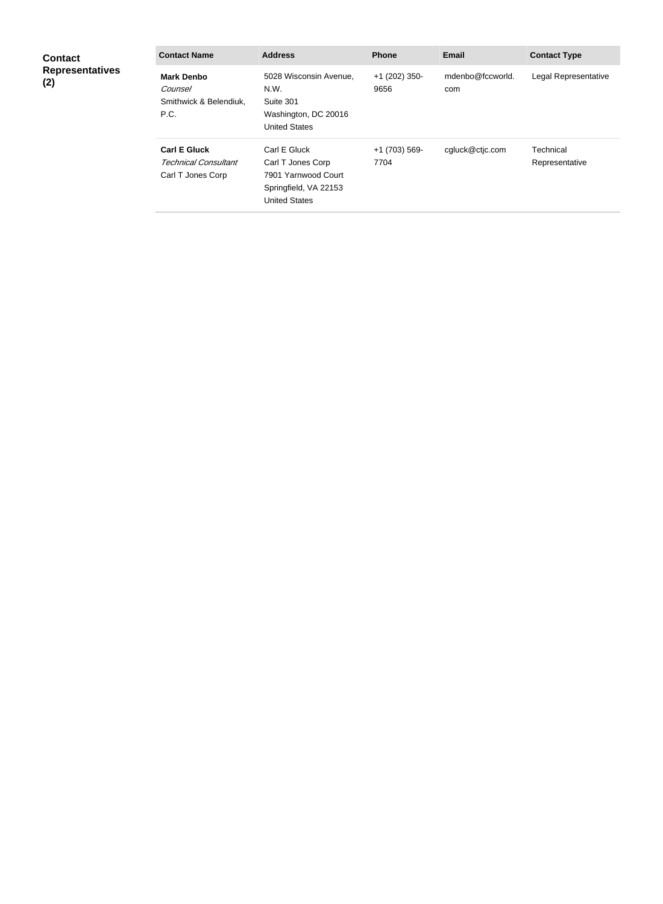| <b>Contact</b><br><b>Representatives</b><br>(2) | <b>Contact Name</b>                                                     | <b>Address</b>                                                                                            | <b>Phone</b>          | <b>Email</b>            | <b>Contact Type</b>         |
|-------------------------------------------------|-------------------------------------------------------------------------|-----------------------------------------------------------------------------------------------------------|-----------------------|-------------------------|-----------------------------|
|                                                 | <b>Mark Denbo</b><br>Counsel<br>Smithwick & Belendiuk,<br>P.C.          | 5028 Wisconsin Avenue,<br>N.W.<br>Suite 301<br>Washington, DC 20016<br><b>United States</b>               | +1 (202) 350-<br>9656 | mdenbo@fccworld.<br>com | Legal Representative        |
|                                                 | <b>Carl E Gluck</b><br><b>Technical Consultant</b><br>Carl T Jones Corp | Carl E Gluck<br>Carl T Jones Corp<br>7901 Yarnwood Court<br>Springfield, VA 22153<br><b>United States</b> | +1 (703) 569-<br>7704 | cgluck@ctjc.com         | Technical<br>Representative |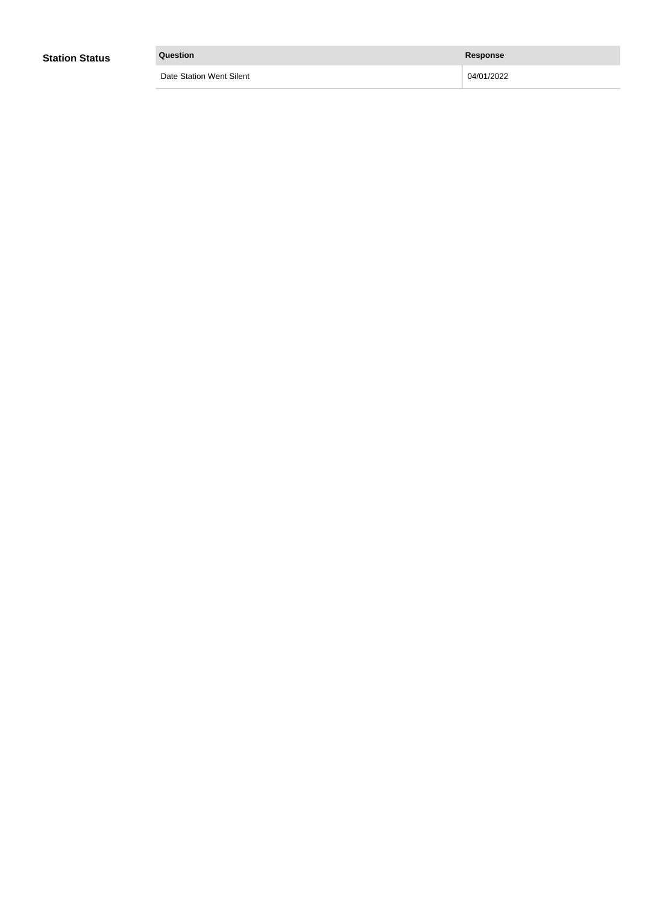| <b>Station Status</b> | Question                 | <b>Response</b> |  |
|-----------------------|--------------------------|-----------------|--|
|                       | Date Station Went Silent | 04/01/2022      |  |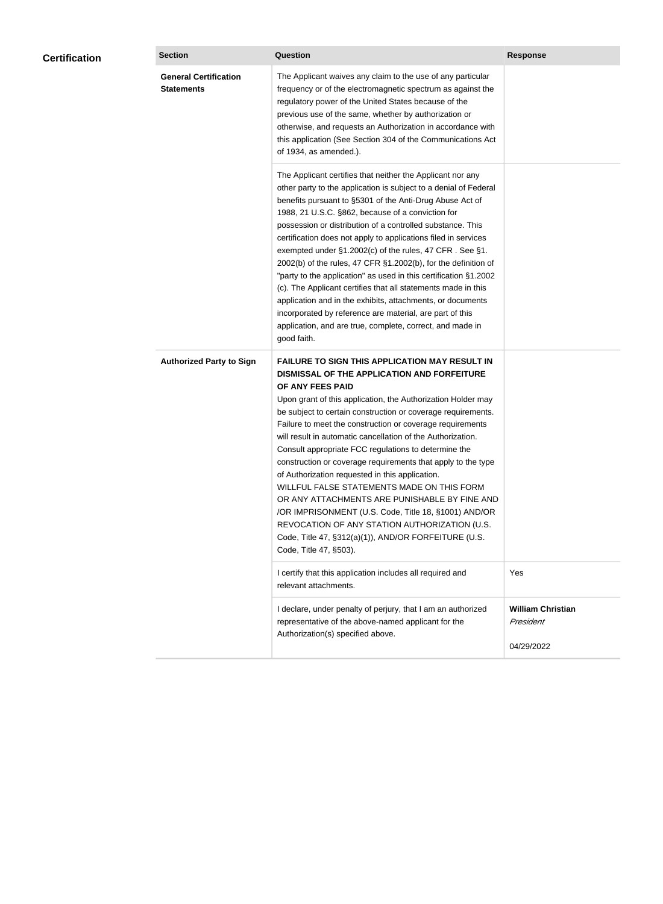| <b>Certification</b> | <b>Section</b>                                    | <b>Question</b>                                                                                                                                                                                                                                                                                                                                                                                                                                                                                                                                                                                                                                                                                                                                                                                                                                           | <b>Response</b>                                     |
|----------------------|---------------------------------------------------|-----------------------------------------------------------------------------------------------------------------------------------------------------------------------------------------------------------------------------------------------------------------------------------------------------------------------------------------------------------------------------------------------------------------------------------------------------------------------------------------------------------------------------------------------------------------------------------------------------------------------------------------------------------------------------------------------------------------------------------------------------------------------------------------------------------------------------------------------------------|-----------------------------------------------------|
|                      | <b>General Certification</b><br><b>Statements</b> | The Applicant waives any claim to the use of any particular<br>frequency or of the electromagnetic spectrum as against the<br>regulatory power of the United States because of the<br>previous use of the same, whether by authorization or<br>otherwise, and requests an Authorization in accordance with<br>this application (See Section 304 of the Communications Act<br>of 1934, as amended.).                                                                                                                                                                                                                                                                                                                                                                                                                                                       |                                                     |
|                      |                                                   | The Applicant certifies that neither the Applicant nor any<br>other party to the application is subject to a denial of Federal<br>benefits pursuant to §5301 of the Anti-Drug Abuse Act of<br>1988, 21 U.S.C. §862, because of a conviction for<br>possession or distribution of a controlled substance. This<br>certification does not apply to applications filed in services<br>exempted under §1.2002(c) of the rules, 47 CFR. See §1.<br>2002(b) of the rules, 47 CFR §1.2002(b), for the definition of<br>"party to the application" as used in this certification §1.2002<br>(c). The Applicant certifies that all statements made in this<br>application and in the exhibits, attachments, or documents<br>incorporated by reference are material, are part of this<br>application, and are true, complete, correct, and made in<br>good faith.   |                                                     |
|                      | <b>Authorized Party to Sign</b>                   | <b>FAILURE TO SIGN THIS APPLICATION MAY RESULT IN</b><br>DISMISSAL OF THE APPLICATION AND FORFEITURE<br>OF ANY FEES PAID<br>Upon grant of this application, the Authorization Holder may<br>be subject to certain construction or coverage requirements.<br>Failure to meet the construction or coverage requirements<br>will result in automatic cancellation of the Authorization.<br>Consult appropriate FCC regulations to determine the<br>construction or coverage requirements that apply to the type<br>of Authorization requested in this application.<br>WILLFUL FALSE STATEMENTS MADE ON THIS FORM<br>OR ANY ATTACHMENTS ARE PUNISHABLE BY FINE AND<br>/OR IMPRISONMENT (U.S. Code, Title 18, §1001) AND/OR<br>REVOCATION OF ANY STATION AUTHORIZATION (U.S.<br>Code, Title 47, §312(a)(1)), AND/OR FORFEITURE (U.S.<br>Code, Title 47, §503). |                                                     |
|                      |                                                   | I certify that this application includes all required and<br>relevant attachments.                                                                                                                                                                                                                                                                                                                                                                                                                                                                                                                                                                                                                                                                                                                                                                        | Yes                                                 |
|                      |                                                   | I declare, under penalty of perjury, that I am an authorized<br>representative of the above-named applicant for the<br>Authorization(s) specified above.                                                                                                                                                                                                                                                                                                                                                                                                                                                                                                                                                                                                                                                                                                  | <b>William Christian</b><br>President<br>04/29/2022 |